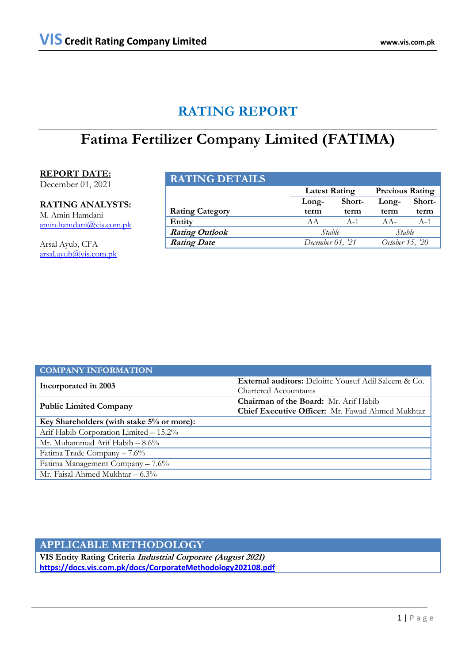# **RATING REPORT**

# **Fatima Fertilizer Company Limited (FATIMA)**

### **REPORT DATE:**

December 01, 2021

### **RATING ANALYSTS:**

M. Amin Hamdani [amin.hamdani@vis.com.pk](mailto:amin.hamdani@vis.com.pk)

Arsal Ayub, CFA [arsal.ayub@vis.com.pk](mailto:arsal.ayub@vis.com.pk)

| <b>RATING DETAILS</b>  |                      |        |                        |        |
|------------------------|----------------------|--------|------------------------|--------|
|                        | <b>Latest Rating</b> |        | <b>Previous Rating</b> |        |
|                        | Long-                | Short- | Long-                  | Short- |
| <b>Rating Category</b> | term                 | term   | term                   | term   |
| Entity                 | A A                  | $A-1$  | $AA -$                 | $A-1$  |
| <b>Rating Outlook</b>  | <i>Stable</i>        |        | Stable                 |        |
| <b>Rating Date</b>     | December 01, '21     |        | October 15, '20        |        |

| <b>COMPANY INFORMATION</b>                |                                                             |
|-------------------------------------------|-------------------------------------------------------------|
| Incorporated in 2003                      | <b>External auditors:</b> Deloitte Yousuf Adil Saleem & Co. |
|                                           | Chartered Accountants                                       |
| <b>Public Limited Company</b>             | <b>Chairman of the Board:</b> Mr. Arif Habib                |
|                                           | Chief Executive Officer: Mr. Fawad Ahmed Mukhtar            |
| Key Shareholders (with stake 5% or more): |                                                             |
| Arif Habib Corporation Limited - 15.2%    |                                                             |
| Mr. Muhammad Arif Habib - 8.6%            |                                                             |
| Fatima Trade Company - 7.6%               |                                                             |
| Fatima Management Company - 7.6%          |                                                             |
| Mr. Faisal Ahmed Mukhtar $-6.3\%$         |                                                             |

## **APPLICABLE METHODOLOGY**

**VIS Entity Rating Criteria Industrial Corporate (August 2021) <https://docs.vis.com.pk/docs/CorporateMethodology202108.pdf>**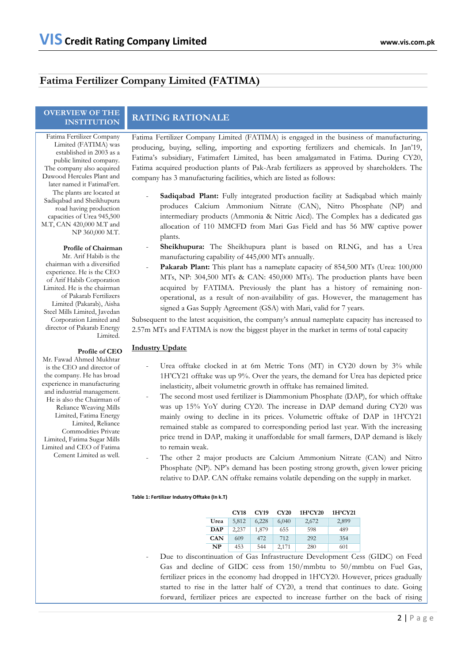## **Fatima Fertilizer Company Limited (FATIMA)**

# **OVERVIEW OF THE**

Fatima Fertilizer Company Limited (FATIMA) was established in 2003 as a public limited company. The company also acquired Dawood Hercules Plant and later named it FatimaFert. The plants are located at Sadiqabad and Sheikhupura road having production capacities of Urea 945,500 M.T, CAN 420,000 M.T and NP 360,000 M.T.

### **Profile of Chairman**

Mr. Arif Habib is the chairman with a diversified experience. He is the CEO of Arif Habib Corporation Limited. He is the chairman of Pakarab Fertilizers Limited (Pakarab), Aisha Steel Mills Limited, Javedan Corporation Limited and director of Pakarab Energy Limited.

### **Profile of CEO**

Mr. Fawad Ahmed Mukhtar is the CEO and director of the company. He has broad experience in manufacturing and industrial management. He is also the Chairman of Reliance Weaving Mills Limited, Fatima Energy Limited, Reliance Commodities Private Limited, Fatima Sugar Mills Limited and CEO of Fatima Cement Limited as well.

### **RATING RATIONALE**

Fatima Fertilizer Company Limited (FATIMA) is engaged in the business of manufacturing, producing, buying, selling, importing and exporting fertilizers and chemicals. In Jan'19, Fatima's subsidiary, Fatimafert Limited, has been amalgamated in Fatima. During CY20, Fatima acquired production plants of Pak-Arab fertilizers as approved by shareholders. The company has 3 manufacturing facilities, which are listed as follows:

- **Sadiqabad Plant:** Fully integrated production facility at Sadiqabad which mainly produces Calcium Ammonium Nitrate (CAN), Nitro Phosphate (NP) and intermediary products (Ammonia & Nitric Aicd). The Complex has a dedicated gas allocation of 110 MMCFD from Mari Gas Field and has 56 MW captive power plants.
- **Sheikhupura:** The Sheikhupura plant is based on RLNG, and has a Urea manufacturing capability of 445,000 MTs annually.
- Pakarab Plant: This plant has a nameplate capacity of 854,500 MTs (Urea: 100,000 MTs, NP: 304,500 MTs & CAN: 450,000 MTs). The production plants have been acquired by FATIMA. Previously the plant has a history of remaining nonoperational, as a result of non-availability of gas. However, the management has signed a Gas Supply Agreement (GSA) with Mari, valid for 7 years.

Subsequent to the latest acquisition, the company's annual nameplate capacity has increased to 2.57m MTs and FATIMA is now the biggest player in the market in terms of total capacity

### **Industry Update**

- Urea offtake clocked in at 6m Metric Tons (MT) in CY20 down by 3% while 1H'CY21 offtake was up 9%. Over the years, the demand for Urea has depicted price inelasticity, albeit volumetric growth in offtake has remained limited.
- The second most used fertilizer is Diammonium Phosphate (DAP), for which offtake was up 15% YoY during CY20. The increase in DAP demand during CY20 was mainly owing to decline in its prices. Volumetric offtake of DAP in 1H'CY21 remained stable as compared to corresponding period last year. With the increasing price trend in DAP, making it unaffordable for small farmers, DAP demand is likely to remain weak.
- The other 2 major products are Calcium Ammonium Nitrate (CAN) and Nitro Phosphate (NP). NP's demand has been posting strong growth, given lower pricing relative to DAP. CAN offtake remains volatile depending on the supply in market.

**Table 1: Fertilizer Industry Offtake (In k.T)**

|            | CY18  | <b>CY19</b> | CY <sub>20</sub> | 1H'CY20 | 1H'CY21 |
|------------|-------|-------------|------------------|---------|---------|
| Urea       | 5.812 | 6,228       | 6.040            | 2,672   | 2,899   |
| <b>DAP</b> | 2,237 | 1,879       | 655              | 598     | 489     |
| <b>CAN</b> | 609   | 472         | 712              | 292     | 354     |
| NP         | 453   | 544         | 2.171            | 280     | 601     |

Due to discontinuation of Gas Infrastructure Development Cess (GIDC) on Feed Gas and decline of GIDC cess from 150/mmbtu to 50/mmbtu on Fuel Gas, fertilizer prices in the economy had dropped in 1H'CY20. However, prices gradually started to rise in the latter half of CY20, a trend that continues to date. Going forward, fertilizer prices are expected to increase further on the back of rising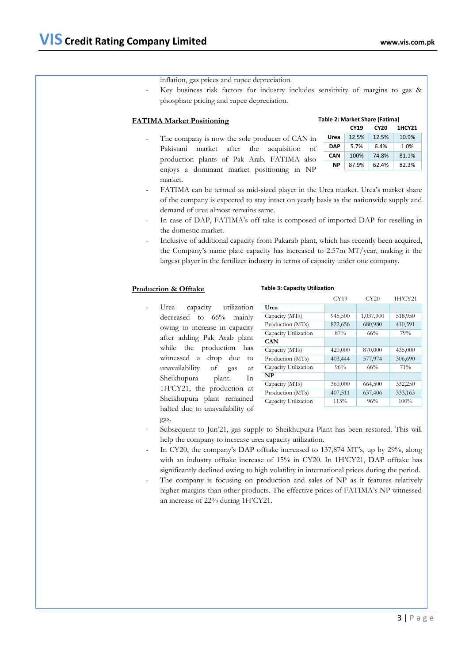- inflation, gas prices and rupee depreciation.
- Key business risk factors for industry includes sensitivity of margins to gas & phosphate pricing and rupee depreciation.

### **FATIMA Market Positioning**

The company is now the sole producer of CAN in Pakistani market after the acquisition of production plants of Pak Arab. FATIMA also enjoys a dominant market positioning in NP market.

| Table 2: Market Share (Fatima)       |      |       |       |       |  |  |  |
|--------------------------------------|------|-------|-------|-------|--|--|--|
| <b>1HCY21</b><br>CY19<br><b>CY20</b> |      |       |       |       |  |  |  |
|                                      | Urea | 12.5% | 12.5% | 10.9% |  |  |  |
|                                      | DAP  | 5.7%  | 6.4%  | 1.0%  |  |  |  |
|                                      | CAN  | 100%  | 74.8% | 81.1% |  |  |  |
|                                      | ΝP   | 87.9% | 62.4% | 82.3% |  |  |  |

- FATIMA can be termed as mid-sized player in the Urea market. Urea's market share of the company is expected to stay intact on yearly basis as the nationwide supply and demand of urea almost remains same.
- In case of DAP, FATIMA's off take is composed of imported DAP for reselling in the domestic market.
- Inclusive of additional capacity from Pakarab plant, which has recently been acquired, the Company's name plate capacity has increased to 2.57m MT/year, making it the largest player in the fertilizer industry in terms of capacity under one company.

### **Production & Offtake**

Urea capacity utilization decreased to 66% mainly owing to increase in capacity after adding Pak Arab plant while the production has witnessed a drop due to unavailability of gas at Sheikhupura plant. In 1H'CY21, the production at Sheikhupura plant remained halted due to unavailability of gas.

### **Table 3: Capacity Utilization**

|                      | CY19    | CY20      | 1H'CY21 |
|----------------------|---------|-----------|---------|
| Urea                 |         |           |         |
| Capacity (MTs)       | 945,500 | 1,037,900 | 518,950 |
| Production (MTs)     | 822,656 | 680,980   | 410,591 |
| Capacity Utilization | 87%     | 66%       | 79%     |
| <b>CAN</b>           |         |           |         |
| Capacity (MTs)       | 420,000 | 870,000   | 435,000 |
| Production (MTs)     | 403,444 | 577,974   | 306,690 |
| Capacity Utilization | 96%     | 66%       | 71%     |
| NP                   |         |           |         |
| Capacity (MTs)       | 360,000 | 664,500   | 332,250 |
| Production (MTs)     | 407,511 | 637,406   | 333,163 |
| Capacity Utilization | 113%    | 96%       | 100%    |

- Subsequent to Jun'21, gas supply to Sheikhupura Plant has been restored. This will help the company to increase urea capacity utilization.
- In CY20, the company's DAP offtake increased to 137,874 MT's, up by 29%, along with an industry offtake increase of 15% in CY20. In 1H'CY21, DAP offtake has significantly declined owing to high volatility in international prices during the period.
- The company is focusing on production and sales of NP as it features relatively higher margins than other products. The effective prices of FATIMA's NP witnessed an increase of 22% during 1H'CY21.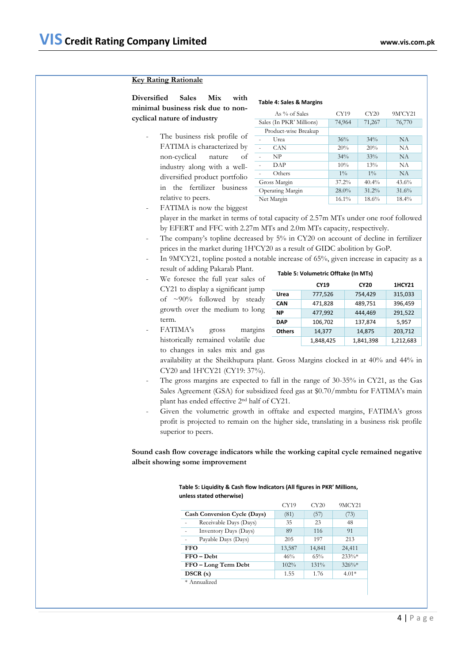### **Key Rating Rationale**

**Diversified Sales Mix with minimal business risk due to non**cyclical nature of industry

> The business risk profile of FATIMA is characterized by non-cyclical nature of industry along with a welldiversified product portfolio in the fertilizer business relative to peers.

| <b>Table 4: Sales &amp; Margins</b> |          |          |           |  |  |  |
|-------------------------------------|----------|----------|-----------|--|--|--|
| As % of Sales                       | CY19     | CY20     | 9M'CY21   |  |  |  |
| Sales (In PKR' Millions)            | 74,964   | 71,267   | 76,770    |  |  |  |
| Product-wise Breakup                |          |          |           |  |  |  |
| Urea                                | 36%      | 34%      | NA        |  |  |  |
| CAN                                 | 20%      | 20%      | <b>NA</b> |  |  |  |
| NP                                  | 34%      | 33%      | <b>NA</b> |  |  |  |
| DAP                                 | 10%      | 13%      | <b>NA</b> |  |  |  |
| Others                              | $1\%$    | $1\%$    | <b>NA</b> |  |  |  |
| Gross Margin                        | 37.2%    | 40.4%    | 43.6%     |  |  |  |
| Operating Margin                    | 28.0%    | $31.2\%$ | 31.6%     |  |  |  |
| Net Margin                          | $16.1\%$ | 18.6%    | 18.4%     |  |  |  |

FATIMA is now the biggest player in the market in terms of total capacity of 2.57m MTs under one roof followed by EFERT and FFC with 2.27m MTs and 2.0m MTs capacity, respectively.

The company's topline decreased by 5% in CY20 on account of decline in fertilizer prices in the market during 1H'CY20 as a result of GIDC abolition by GoP.

In 9M'CY21, topline posted a notable increase of 65%, given increase in capacity as a

- result of adding Pakarab Plant. We foresee the full year sales of
- CY21 to display a significant jump of  $\sim$ 90% followed by steady growth over the medium to long term.
- FATIMA's historically re to changes in

| gross                | margins | <b>Others</b> | 14.377    | 14.875    | 203.712   |  |
|----------------------|---------|---------------|-----------|-----------|-----------|--|
| emained volatile due |         |               | 1,848,425 | 1,841,398 | 1,212,683 |  |
| n sales mix and gas  |         |               |           |           |           |  |

availability at the Sheikhupura plant. Gross Margins clocked in at 40% and 44% in CY20 and 1H'CY21 (CY19: 37%).

- The gross margins are expected to fall in the range of 30-35% in CY21, as the Gas Sales Agreement (GSA) for subsidized feed gas at \$0.70/mmbtu for FATIMA's main plant has ended effective 2nd half of CY21.
- Given the volumetric growth in offtake and expected margins, FATIMA's gross profit is projected to remain on the higher side, translating in a business risk profile superior to peers.

**Sound cash flow coverage indicators while the working capital cycle remained negative albeit showing some improvement** 

### **Table 5: Liquidity & Cash flow Indicators (All figures in PKR' Millions, unless stated otherwise)**

|                                     | CY19   | CY20   | 9MCY21   |
|-------------------------------------|--------|--------|----------|
| <b>Cash Conversion Cycle (Days)</b> | (81)   | (57)   | (73)     |
| Receivable Days (Days)              | 35     | 23     | 48       |
| <b>Inventory Days (Days)</b>        | 89     | 116    | 91       |
| Payable Days (Days)                 | 205    | 197    | 213      |
| <b>FFO</b>                          | 13,587 | 14,841 | 24,411   |
| $FFO - Debt$                        | 46%    | 65%    | $233\%*$ |
| FFO - Long Term Debt                | 102%   | 131%   | $326\%*$ |
| DSCR(x)                             | 1.55   | 1.76   | $4.01*$  |
| * Annualized                        |        |        |          |

|               | CY19      | <b>CY20</b> | <b>1HCY21</b> |
|---------------|-----------|-------------|---------------|
| Urea          | 777,526   | 754,429     | 315,033       |
| <b>CAN</b>    | 471.828   | 489.751     | 396.459       |
| <b>NP</b>     | 477,992   | 444,469     | 291,522       |
| <b>DAP</b>    | 106.702   | 137.874     | 5.957         |
| <b>Others</b> | 14.377    | 14.875      | 203,712       |
|               | 1.848.425 | 1,841,398   | 1,212,683     |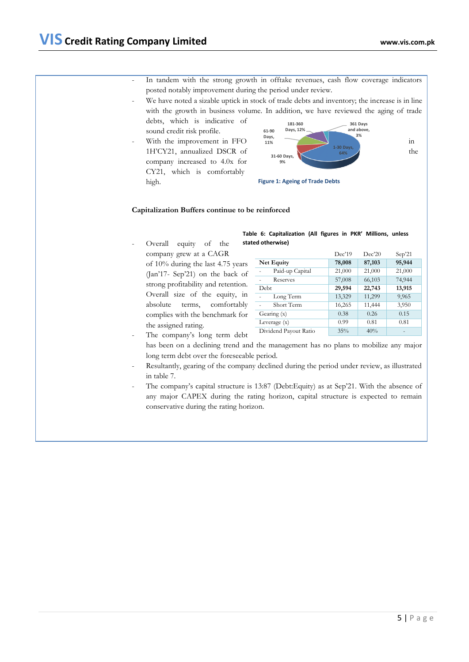

- **181-360 361 Days**  We have noted a sizable uptick in stock of trade debts and inventory; the increase is in line with the growth in business volume. In addition, we have reviewed the aging of trade debts, which is indicative of sound credit risk profile.
- company increased to 4.0x for CY21, which is comfortably high.



**Figure 1: Ageing of Trade Debts**

### **Capitalization Buffers continue to be reinforced**

Overall equity of the company grew at a CAGR of 10% during the last 4.75 years (Jan'17- Sep'21) on the back of strong profitability and retention. Overall size of the equity, in absolute terms, comfortably complies with the benchmark for the assigned rating.

### **Table 6: Capitalization (All figures in PKR' Millions, unless stated otherwise)**

|                       | Dec'19 | Dec20  | Sep21  |
|-----------------------|--------|--------|--------|
| <b>Net Equity</b>     | 78,008 | 87,103 | 95,944 |
| Paid-up Capital       | 21,000 | 21,000 | 21,000 |
| Reserves              | 57,008 | 66,103 | 74,944 |
| Debt                  | 29,594 | 22,743 | 13,915 |
| Long Term             | 13,329 | 11,299 | 9,965  |
| Short Term            | 16,265 | 11,444 | 3,950  |
| Gearing (x)           | 0.38   | 0.26   | 0.15   |
| Leverage (x)          | 0.99   | 0.81   | 0.81   |
| Dividend Payout Ratio | 35%    | 40%    |        |

The company's long term debt has been on a declining trend and the management has no plans to mobilize any major long term debt over the foreseeable period.

- Resultantly, gearing of the company declined during the period under review, as illustrated in table 7.
- The company's capital structure is 13:87 (Debt:Equity) as at Sep'21. With the absence of any major CAPEX during the rating horizon, capital structure is expected to remain conservative during the rating horizon.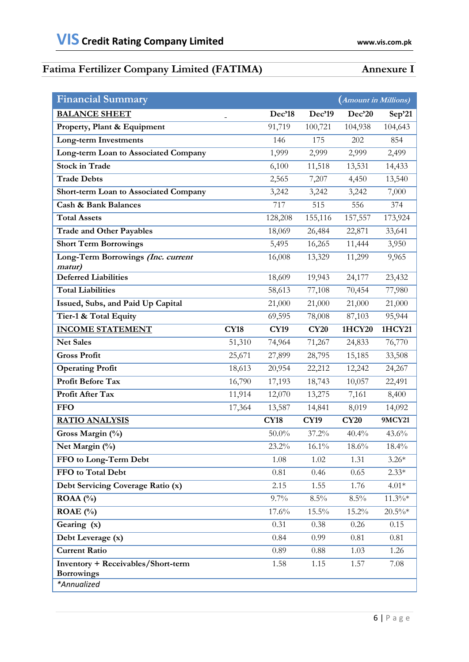# **Fatima Fertilizer Company Limited (FATIMA) Annexure I**

| <b>Financial Summary</b>                                       |             |             |             | <i>(Amount in Millions)</i> |           |
|----------------------------------------------------------------|-------------|-------------|-------------|-----------------------------|-----------|
| <b>BALANCE SHEET</b>                                           |             | Dec'18      | Dec'19      | Dec'20                      | Sep'21    |
| Property, Plant & Equipment                                    |             | 91,719      | 100,721     | 104,938                     | 104,643   |
| <b>Long-term Investments</b>                                   |             | 146         | 175         | 202                         | 854       |
| <b>Long-term Loan to Associated Company</b>                    |             | 1,999       | 2,999       | 2,999                       | 2,499     |
| <b>Stock in Trade</b>                                          |             | 6,100       | 11,518      | 13,531                      | 14,433    |
| <b>Trade Debts</b>                                             |             | 2,565       | 7,207       | 4,450                       | 13,540    |
| <b>Short-term Loan to Associated Company</b>                   |             | 3,242       | 3,242       | 3,242                       | 7,000     |
| <b>Cash &amp; Bank Balances</b>                                |             | 717         | 515         | 556                         | 374       |
| <b>Total Assets</b>                                            |             | 128,208     | 155,116     | 157,557                     | 173,924   |
| <b>Trade and Other Payables</b>                                |             | 18,069      | 26,484      | 22,871                      | 33,641    |
| <b>Short Term Borrowings</b>                                   |             | 5,495       | 16,265      | 11,444                      | 3,950     |
| Long-Term Borrowings (Inc. current<br>matur)                   |             | 16,008      | 13,329      | 11,299                      | 9,965     |
| <b>Deferred Liabilities</b>                                    |             | 18,609      | 19,943      | 24,177                      | 23,432    |
| <b>Total Liabilities</b>                                       |             | 58,613      | 77,108      | 70,454                      | 77,980    |
| Issued, Subs, and Paid Up Capital                              |             | 21,000      | 21,000      | 21,000                      | 21,000    |
| Tier-1 & Total Equity                                          |             | 69,595      | 78,008      | 87,103                      | 95,944    |
| <b>INCOME STATEMENT</b>                                        | <b>CY18</b> | <b>CY19</b> | <b>CY20</b> | 1HCY20                      | 1HCY21    |
| <b>Net Sales</b>                                               | 51,310      | 74,964      | 71,267      | 24,833                      | 76,770    |
| <b>Gross Profit</b>                                            | 25,671      | 27,899      | 28,795      | 15,185                      | 33,508    |
| <b>Operating Profit</b>                                        | 18,613      | 20,954      | 22,212      | 12,242                      | 24,267    |
| <b>Profit Before Tax</b>                                       | 16,790      | 17,193      | 18,743      | 10,057                      | 22,491    |
| Profit After Tax                                               | 11,914      | 12,070      | 13,275      | 7,161                       | 8,400     |
| <b>FFO</b>                                                     | 17,364      | 13,587      | 14,841      | 8,019                       | 14,092    |
| <b>RATIO ANALYSIS</b>                                          |             | <b>CY18</b> | <b>CY19</b> | <b>CY20</b>                 | 9MCY21    |
| Gross Margin (%)                                               |             | $50.0\%$    | 37.2%       | 40.4%                       | 43.6%     |
| Net Margin (%)                                                 |             | $23.2\%$    | $16.1\%$    | $18.6\%$                    | 18.4%     |
| FFO to Long-Term Debt                                          |             | 1.08        | 1.02        | 1.31                        | $3.26*$   |
| FFO to Total Debt                                              |             | 0.81        | 0.46        | 0.65                        | $2.33*$   |
| Debt Servicing Coverage Ratio (x)                              |             | 2.15        | 1.55        | 1.76                        | $4.01*$   |
| ROAA $(%)$                                                     |             | 9.7%        | $8.5\%$     | 8.5%                        | $11.3\%*$ |
| ROAE $(\%$                                                     |             | 17.6%       | 15.5%       | 15.2%                       | $20.5\%*$ |
| Gearing (x)                                                    |             | 0.31        | 0.38        | 0.26                        | 0.15      |
| Debt Leverage (x)                                              |             | 0.84        | 0.99        | 0.81                        | $0.81\,$  |
| <b>Current Ratio</b>                                           |             | 0.89        | 0.88        | 1.03                        | 1.26      |
| <b>Inventory + Receivables/Short-term</b><br><b>Borrowings</b> |             | 1.58        | 1.15        | 1.57                        | 7.08      |
| *Annualized                                                    |             |             |             |                             |           |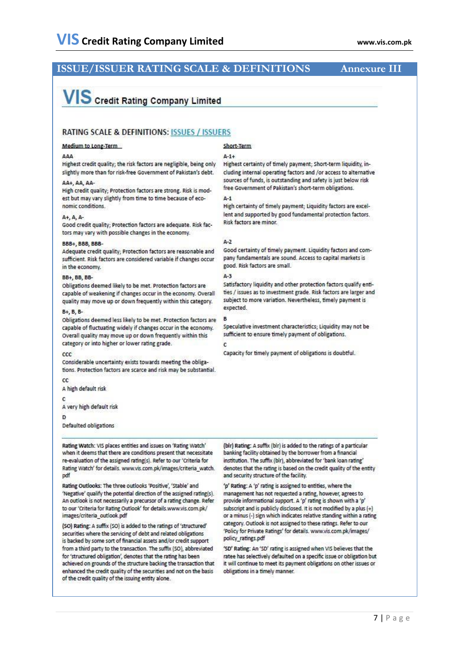### **ISSUE/ISSUER RATING SCALE & DEFINITIONS Annexure III**

# **VIS** Credit Rating Company Limited

### **RATING SCALE & DEFINITIONS: ISSUES / ISSUERS**

### Medium to Long-Term

### 444

Highest credit quality: the risk factors are negligible, being only slightly more than for risk-free Government of Pakistan's debt.

### AA+, AA, AA-

High credit quality: Protection factors are strong. Risk is modest but may vary slightly from time to time because of economic conditions.

### $A + A A$

Good credit quality; Protection factors are adequate. Risk factors may vary with possible changes in the economy.

### BBB+ BBB BBB-

Adequate credit quality; Protection factors are reasonable and sufficient. Risk factors are considered variable if changes occur in the economy.

### **BR+ BR BR-**

Obligations deemed likely to be met. Protection factors are capable of weakening if changes occur in the economy. Overall quality may move up or down frequently within this category.

### B+, B, B-

Obligations deemed less likely to be met. Protection factors are capable of fluctuating widely if changes occur in the economy. Overall quality may move up or down frequently within this category or into higher or lower rating grade.

#### $ccc$

Considerable uncertainty exists towards meeting the obligations. Protection factors are scarce and risk may be substantial.

### $\alpha$

A high default risk

c

A very high default risk

Defaulted obligations

Rating Watch: VIS places entities and issues on 'Rating Watch' when it deems that there are conditions present that necessitate re-evaluation of the assigned rating(s). Refer to our 'Criteria for Rating Watch' for details. www.vis.com.pk/images/criteria\_watch. pdf

Rating Outlooks: The three outlooks 'Positive', 'Stable' and 'Negative' qualify the potential direction of the assigned rating(s). An outlook is not necessarily a precursor of a rating change. Refer to our 'Criteria for Rating Outlook' for details.www.vis.com.pk/ images/criteria\_outlook.pdf

(SO) Rating: A suffix (SO) is added to the ratings of 'structured' securities where the servicing of debt and related obligations is backed by some sort of financial assets and/or credit support from a third party to the transaction. The suffix (SO), abbreviated for 'structured obligation', denotes that the rating has been achieved on grounds of the structure backing the transaction that enhanced the credit quality of the securities and not on the basis of the credit quality of the issuing entity alone.

### Short-Term

#### $A - 1 -$

Highest certainty of timely payment: Short-term liquidity, including internal operating factors and /or access to alternative sources of funds, is outstanding and safety is just below risk free Government of Pakistan's short-term obligations.

 $\Delta - 1$ 

High certainty of timely payment; Liquidity factors are excellent and supported by good fundamental protection factors. **Pick factors are minor** 

### $A-2$

Good certainty of timely payment. Liquidity factors and company fundamentals are sound. Access to capital markets is good. Risk factors are small.

### $\Delta - 3$

Satisfactory liquidity and other protection factors qualify entities / issues as to investment grade. Risk factors are larger and subject to more variation. Nevertheless, timely payment is expected

#### B

Speculative investment characteristics; Liquidity may not be sufficient to ensure timely payment of obligations.

Capacity for timely payment of obligations is doubtful.

(bir) Rating: A suffix (bir) is added to the ratings of a particular banking facility obtained by the borrower from a financial institution. The suffix (blr), abbreviated for 'bank loan rating' denotes that the rating is based on the credit quality of the entity and security structure of the facility.

'p' Rating: A 'p' rating is assigned to entities, where the management has not requested a rating, however, agrees to provide informational support. A 'p' rating is shown with a 'p' subscript and is publicly disclosed. It is not modified by a plus (+) or a minus (-) sign which indicates relative standing within a rating category. Outlook is not assigned to these ratings. Refer to our 'Policy for Private Ratings' for details. www.vis.com.pk/images/ policy ratings.pdf

'SD' Rating: An 'SD' rating is assigned when VIS believes that the ratee has selectively defaulted on a specific issue or obligation but it will continue to meet its payment obligations on other issues or obligations in a timely manner.